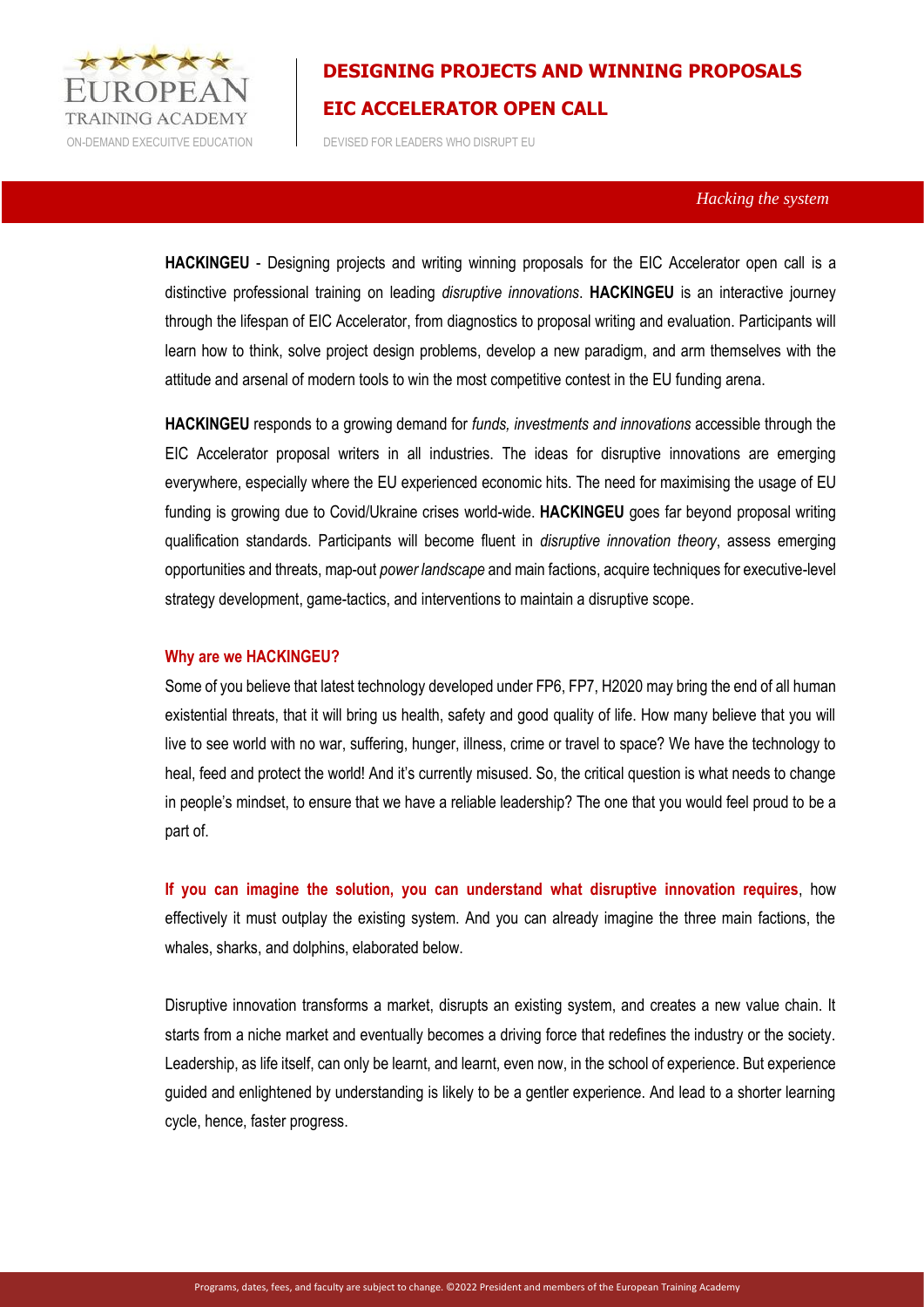

ON-DEMAND EXECUITVE EDUCATION DEVISED FOR LEADERS WHO DISRUPT EU

### *Hacking the system*

**HACKINGEU** - Designing projects and writing winning proposals for the EIC Accelerator open call is a distinctive professional training on leading *disruptive innovations*. **HACKINGEU** is an interactive journey through the lifespan of EIC Accelerator, from diagnostics to proposal writing and evaluation. Participants will learn how to think, solve project design problems, develop a new paradigm, and arm themselves with the attitude and arsenal of modern tools to win the most competitive contest in the EU funding arena.

**HACKINGEU** responds to a growing demand for *funds, investments and innovations* accessible through the EIC Accelerator proposal writers in all industries. The ideas for disruptive innovations are emerging everywhere, especially where the EU experienced economic hits. The need for maximising the usage of EU funding is growing due to Covid/Ukraine crises world-wide. **HACKINGEU** goes far beyond proposal writing qualification standards. Participants will become fluent in *disruptive innovation theory*, assess emerging opportunities and threats, map-out *power landscape* and main factions, acquire techniques for executive-level strategy development, game-tactics, and interventions to maintain a disruptive scope.

#### **Why are we HACKINGEU?**

Some of you believe that latest technology developed under FP6, FP7, H2020 may bring the end of all human existential threats, that it will bring us health, safety and good quality of life. How many believe that you will live to see world with no war, suffering, hunger, illness, crime or travel to space? We have the technology to heal, feed and protect the world! And it's currently misused. So, the critical question is what needs to change in people's mindset, to ensure that we have a reliable leadership? The one that you would feel proud to be a part of.

**If you can imagine the solution, you can understand what disruptive innovation requires**, how effectively it must outplay the existing system. And you can already imagine the three main factions, the whales, sharks, and dolphins, elaborated below.

Disruptive innovation transforms a market, disrupts an existing system, and creates a new value chain. It starts from a niche market and eventually becomes a driving force that redefines the industry or the society. Leadership, as life itself, can only be learnt, and learnt, even now, in the school of experience. But experience guided and enlightened by understanding is likely to be a gentler experience. And lead to a shorter learning cycle, hence, faster progress.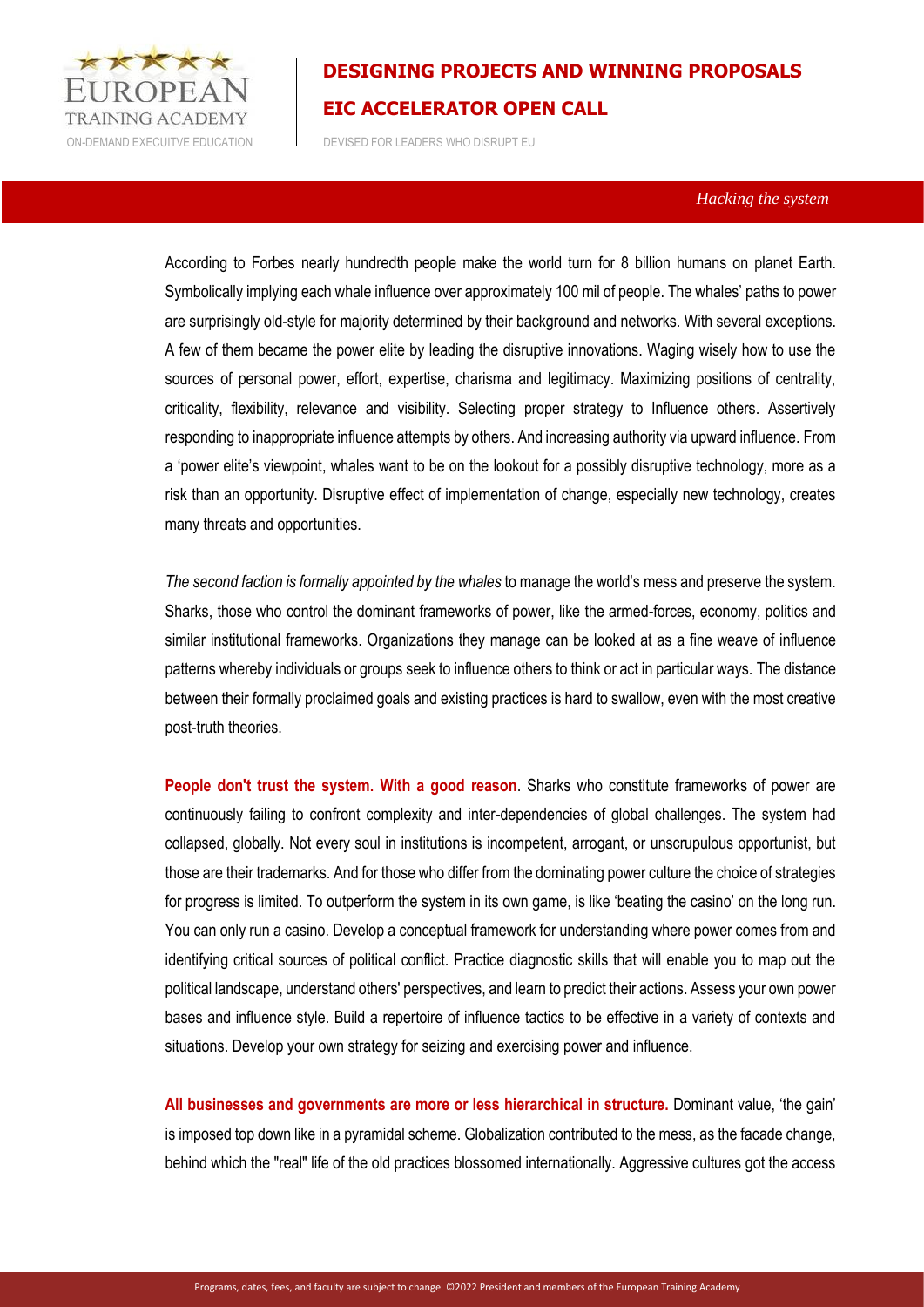

ON-DEMAND EXECUITVE EDUCATION DEVISED FOR LEADERS WHO DISRUPT EU

### *Hacking the system*

According to Forbes nearly hundredth people make the world turn for 8 billion humans on planet Earth. Symbolically implying each whale influence over approximately 100 mil of people. The whales' paths to power are surprisingly old-style for majority determined by their background and networks. With several exceptions. A few of them became the power elite by leading the disruptive innovations. Waging wisely how to use the sources of personal power, effort, expertise, charisma and legitimacy. Maximizing positions of centrality, criticality, flexibility, relevance and visibility. Selecting proper strategy to Influence others. Assertively responding to inappropriate influence attempts by others. And increasing authority via upward influence. From a 'power elite's viewpoint, whales want to be on the lookout for a possibly disruptive technology, more as a risk than an opportunity. Disruptive effect of implementation of change, especially new technology, creates many threats and opportunities.

*The second faction is formally appointed by the whales* to manage the world's mess and preserve the system. Sharks, those who control the dominant frameworks of power, like the armed-forces, economy, politics and similar institutional frameworks. Organizations they manage can be looked at as a fine weave of influence patterns whereby individuals or groups seek to influence others to think or act in particular ways. The distance between their formally proclaimed goals and existing practices is hard to swallow, even with the most creative post-truth theories.

**People don't trust the system. With a good reason**. Sharks who constitute frameworks of power are continuously failing to confront complexity and inter-dependencies of global challenges. The system had collapsed, globally. Not every soul in institutions is incompetent, arrogant, or unscrupulous opportunist, but those are their trademarks. And for those who differ from the dominating power culture the choice of strategies for progress is limited. To outperform the system in its own game, is like 'beating the casino' on the long run. You can only run a casino. Develop a conceptual framework for understanding where power comes from and identifying critical sources of political conflict. Practice diagnostic skills that will enable you to map out the political landscape, understand others' perspectives, and learn to predict their actions. Assess your own power bases and influence style. Build a repertoire of influence tactics to be effective in a variety of contexts and situations. Develop your own strategy for seizing and exercising power and influence.

**All businesses and governments are more or less hierarchical in structure.** Dominant value, 'the gain' is imposed top down like in a pyramidal scheme. Globalization contributed to the mess, as the facade change, behind which the "real" life of the old practices blossomed internationally. Aggressive cultures got the access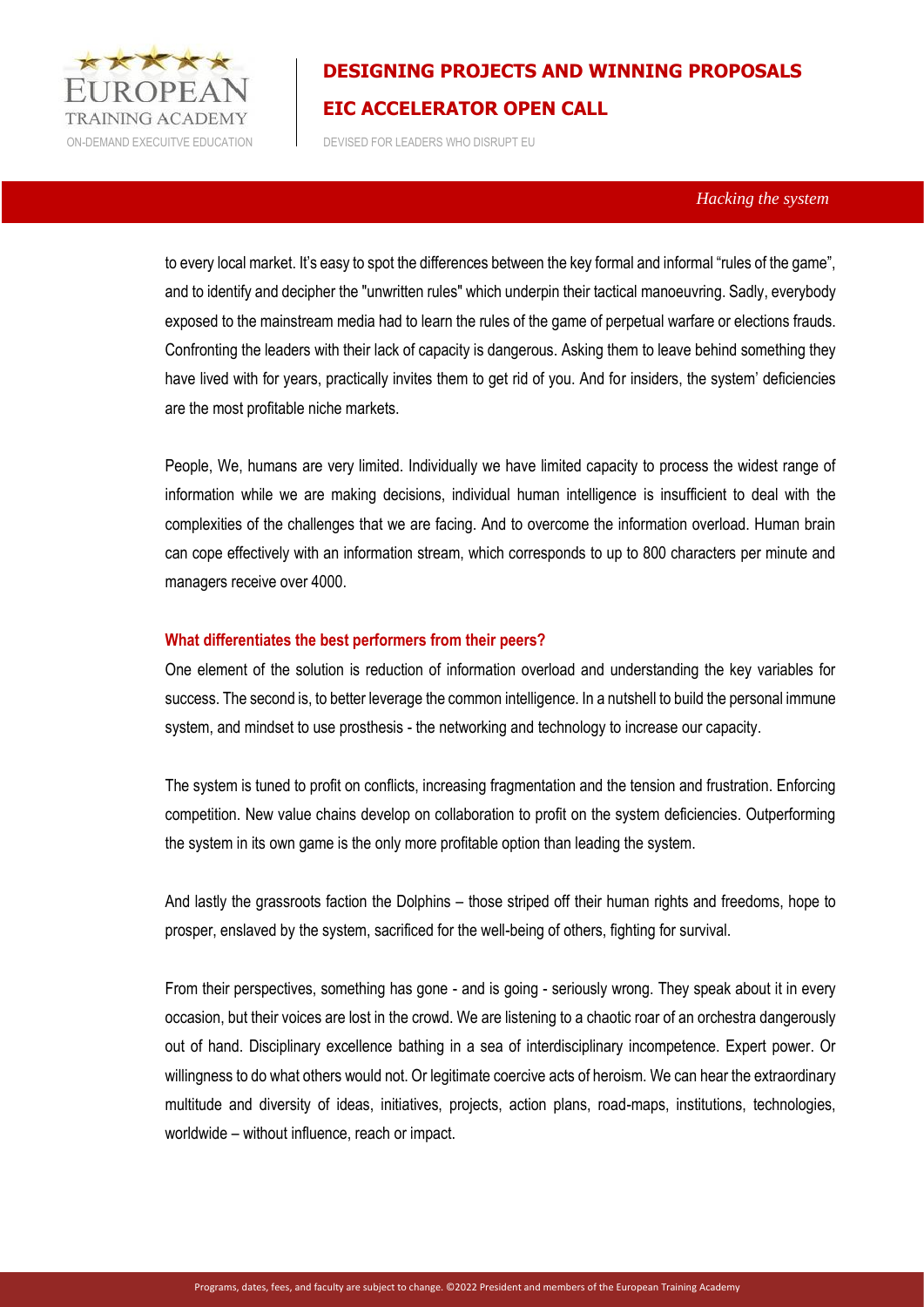

ON-DEMAND EXECUITVE EDUCATION DEVISED FOR LEADERS WHO DISRUPT EU

### *Hacking the system*

to every local market. It's easy to spot the differences between the key formal and informal "rules of the game", and to identify and decipher the "unwritten rules" which underpin their tactical manoeuvring. Sadly, everybody exposed to the mainstream media had to learn the rules of the game of perpetual warfare or elections frauds. Confronting the leaders with their lack of capacity is dangerous. Asking them to leave behind something they have lived with for years, practically invites them to get rid of you. And for insiders, the system' deficiencies are the most profitable niche markets.

People, We, humans are very limited. Individually we have limited capacity to process the widest range of information while we are making decisions, individual human intelligence is insufficient to deal with the complexities of the challenges that we are facing. And to overcome the information overload. Human brain can cope effectively with an information stream, which corresponds to up to 800 characters per minute and managers receive over 4000.

### **What differentiates the best performers from their peers?**

One element of the solution is reduction of information overload and understanding the key variables for success. The second is, to better leverage the common intelligence. In a nutshell to build the personal immune system, and mindset to use prosthesis - the networking and technology to increase our capacity.

The system is tuned to profit on conflicts, increasing fragmentation and the tension and frustration. Enforcing competition. New value chains develop on collaboration to profit on the system deficiencies. Outperforming the system in its own game is the only more profitable option than leading the system.

And lastly the grassroots faction the Dolphins – those striped off their human rights and freedoms, hope to prosper, enslaved by the system, sacrificed for the well-being of others, fighting for survival.

From their perspectives, something has gone - and is going - seriously wrong. They speak about it in every occasion, but their voices are lost in the crowd. We are listening to a chaotic roar of an orchestra dangerously out of hand. Disciplinary excellence bathing in a sea of interdisciplinary incompetence. Expert power. Or willingness to do what others would not. Or legitimate coercive acts of heroism. We can hear the extraordinary multitude and diversity of ideas, initiatives, projects, action plans, road-maps, institutions, technologies, worldwide – without influence, reach or impact.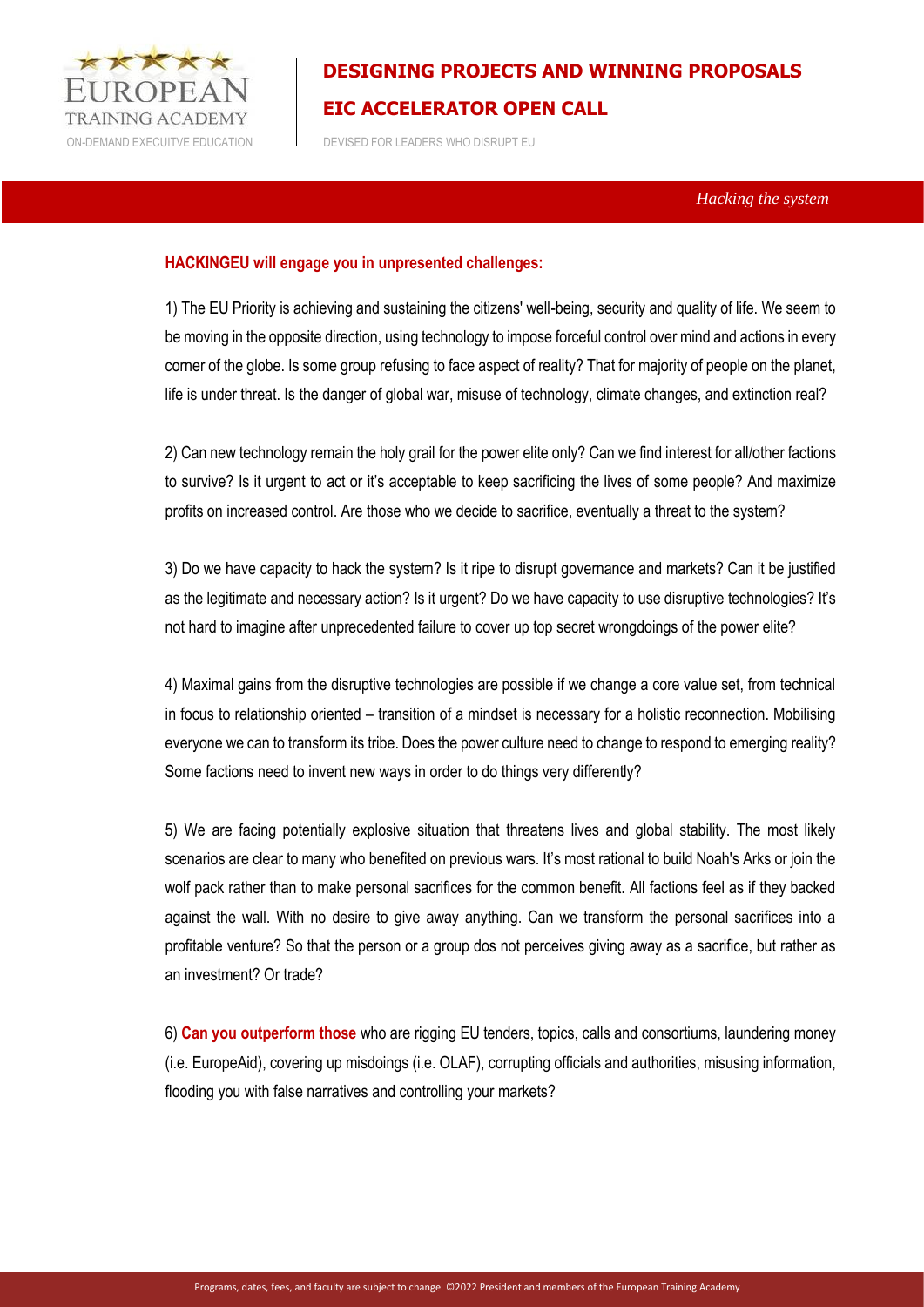

ON-DEMAND EXECUITVE EDUCATION DEVISED FOR LEADERS WHO DISRUPT EU

 *Hacking the system* 

### **HACKINGEU will engage you in unpresented challenges:**

1) The EU Priority is achieving and sustaining the citizens' well-being, security and quality of life. We seem to be moving in the opposite direction, using technology to impose forceful control over mind and actions in every corner of the globe. Is some group refusing to face aspect of reality? That for majority of people on the planet, life is under threat. Is the danger of global war, misuse of technology, climate changes, and extinction real?

2) Can new technology remain the holy grail for the power elite only? Can we find interest for all/other factions to survive? Is it urgent to act or it's acceptable to keep sacrificing the lives of some people? And maximize profits on increased control. Are those who we decide to sacrifice, eventually a threat to the system?

3) Do we have capacity to hack the system? Is it ripe to disrupt governance and markets? Can it be justified as the legitimate and necessary action? Is it urgent? Do we have capacity to use disruptive technologies? It's not hard to imagine after unprecedented failure to cover up top secret wrongdoings of the power elite?

4) Maximal gains from the disruptive technologies are possible if we change a core value set, from technical in focus to relationship oriented – transition of a mindset is necessary for a holistic reconnection. Mobilising everyone we can to transform its tribe. Does the power culture need to change to respond to emerging reality? Some factions need to invent new ways in order to do things very differently?

5) We are facing potentially explosive situation that threatens lives and global stability. The most likely scenarios are clear to many who benefited on previous wars. It's most rational to build Noah's Arks or join the wolf pack rather than to make personal sacrifices for the common benefit. All factions feel as if they backed against the wall. With no desire to give away anything. Can we transform the personal sacrifices into a profitable venture? So that the person or a group dos not perceives giving away as a sacrifice, but rather as an investment? Or trade?

6) **Can you outperform those** who are rigging EU tenders, topics, calls and consortiums, laundering money (i.e. EuropeAid), covering up misdoings (i.e. OLAF), corrupting officials and authorities, misusing information, flooding you with false narratives and controlling your markets?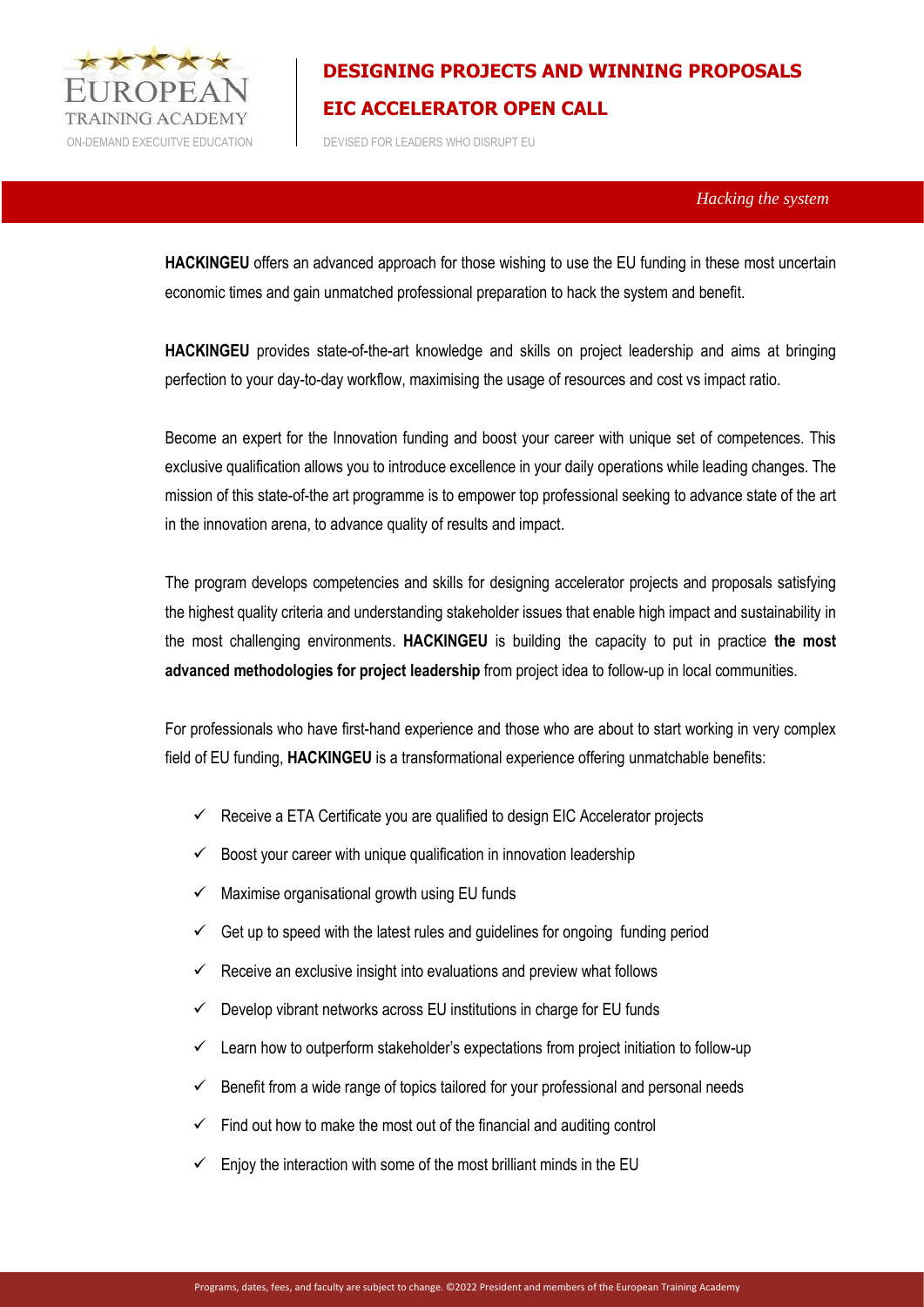

ON-DEMAND EXECUITVE EDUCATION DEVISED FOR LEADERS WHO DISRUPT EU

 *Hacking the system* 

**HACKINGEU** offers an advanced approach for those wishing to use the EU funding in these most uncertain economic times and gain unmatched professional preparation to hack the system and benefit.

**HACKINGEU** provides state-of-the-art knowledge and skills on project leadership and aims at bringing perfection to your day-to-day workflow, maximising the usage of resources and cost vs impact ratio.

Become an expert for the Innovation funding and boost your career with unique set of competences. This exclusive qualification allows you to introduce excellence in your daily operations while leading changes. The mission of this state-of-the art programme is to empower top professional seeking to advance state of the art in the innovation arena, to advance quality of results and impact.

The program develops competencies and skills for designing accelerator projects and proposals satisfying the highest quality criteria and understanding stakeholder issues that enable high impact and sustainability in the most challenging environments. **HACKINGEU** is building the capacity to put in practice **the most advanced methodologies for project leadership** from project idea to follow-up in local communities.

For professionals who have first-hand experience and those who are about to start working in very complex field of EU funding, **HACKINGEU** is a transformational experience offering unmatchable benefits:

- $\checkmark$  Receive a ETA Certificate you are qualified to design EIC Accelerator projects
- $\checkmark$  Boost your career with unique qualification in innovation leadership
- Maximise organisational growth using EU funds
- Get up to speed with the latest rules and guidelines for ongoing funding period
- Receive an exclusive insight into evaluations and preview what follows
- $\checkmark$  Develop vibrant networks across EU institutions in charge for EU funds
- $\checkmark$  Learn how to outperform stakeholder's expectations from project initiation to follow-up
- Benefit from a wide range of topics tailored for your professional and personal needs
- Find out how to make the most out of the financial and auditing control
- Enjoy the interaction with some of the most brilliant minds in the EU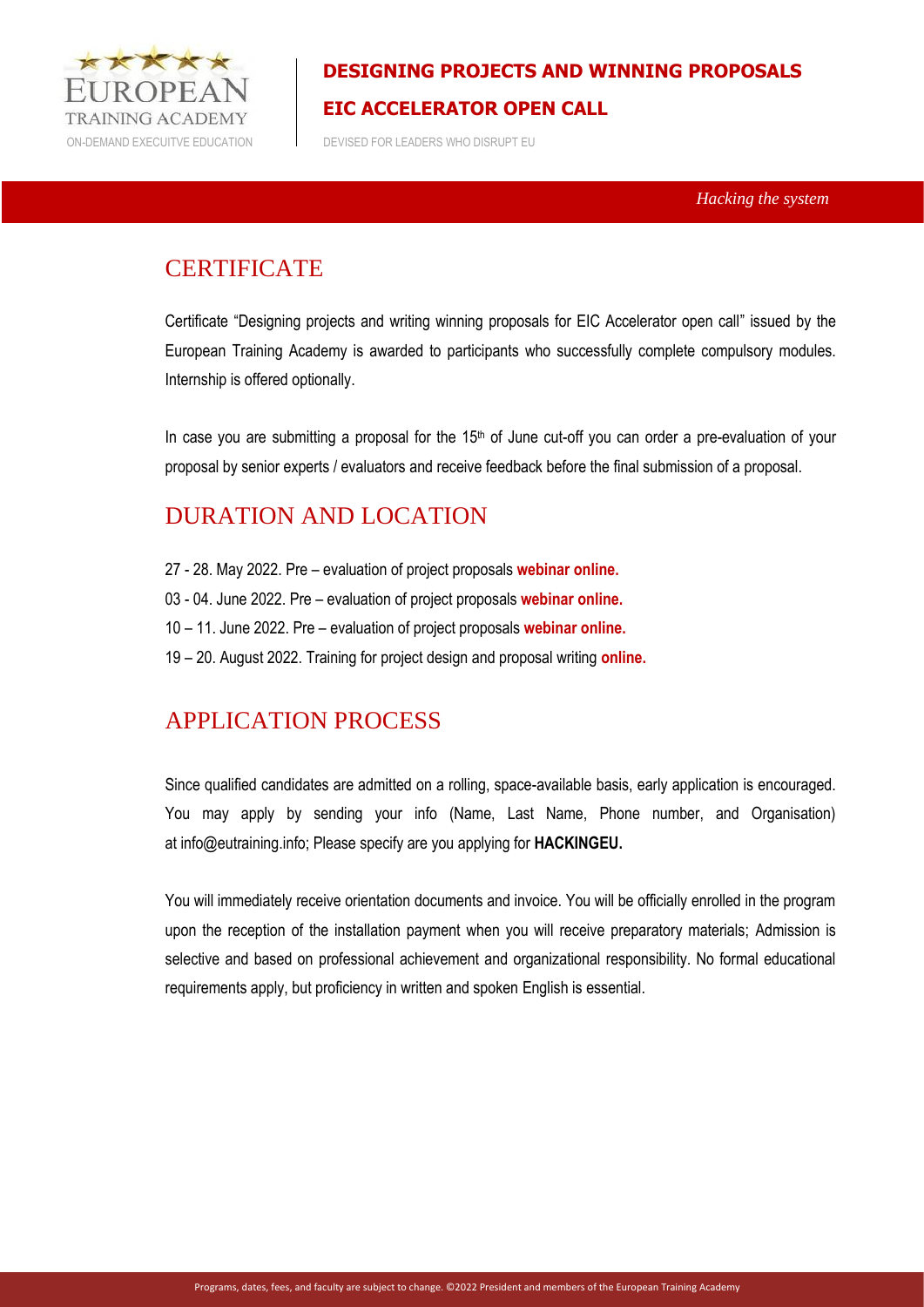

ON-DEMAND EXECUITVE EDUCATION DEVISED FOR LEADERS WHO DISRUPT EU

 *Hacking the system* 

### **CERTIFICATE**

Certificate "Designing projects and writing winning proposals for EIC Accelerator open call" issued by the European Training Academy is awarded to participants who successfully complete compulsory modules. Internship is offered optionally.

In case you are submitting a proposal for the 15<sup>th</sup> of June cut-off you can order a pre-evaluation of your proposal by senior experts / evaluators and receive feedback before the final submission of a proposal.

### DURATION AND LOCATION

- 27 28. May 2022. Pre evaluation of project proposals **webinar online.**
- 03 04. June 2022. Pre evaluation of project proposals **webinar online.**
- 10 11. June 2022. Pre evaluation of project proposals **webinar online.**
- 19 20. August 2022. Training for project design and proposal writing **online.**

### APPLICATION PROCESS

Since qualified candidates are admitted on a rolling, space-available basis, early application is encouraged. You may apply by sending your info (Name, Last Name, Phone number, and Organisation) at info@eutraining.info; Please specify are you applying for **HACKINGEU.**

You will immediately receive orientation documents and invoice. You will be officially enrolled in the program upon the reception of the installation payment when you will receive preparatory materials; Admission is selective and based on professional achievement and organizational responsibility. No formal educational requirements apply, but proficiency in written and spoken English is essential.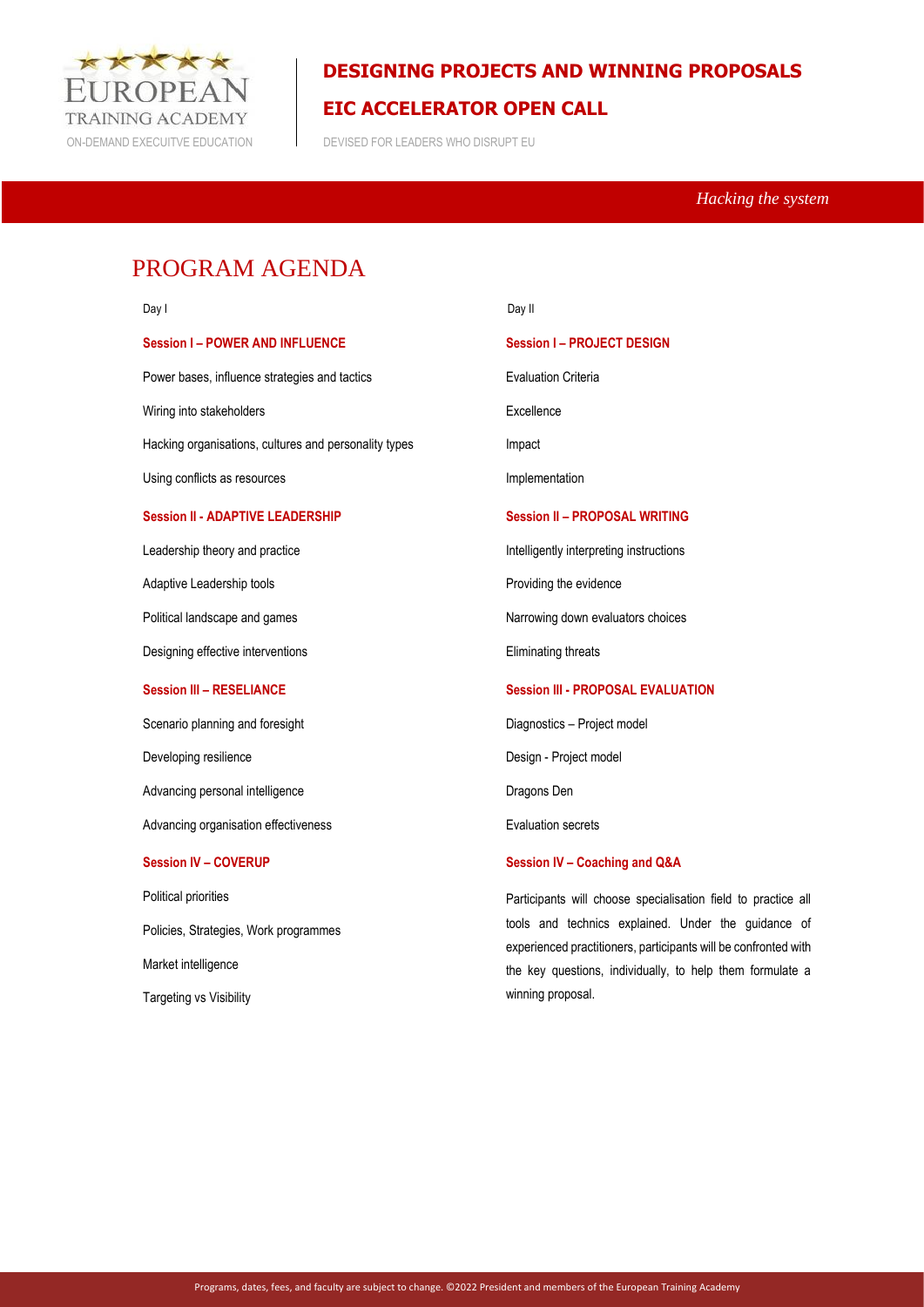

 *Hacking the system* 

## PROGRAM AGENDA

| Day I                                                 |
|-------------------------------------------------------|
| <b>Session I-POWER AND INFLUENCE</b>                  |
| Power bases, influence strategies and tactics         |
| Wiring into stakeholders                              |
| Hacking organisations, cultures and personality types |
| Using conflicts as resources                          |
| <b>Session II - ADAPTIVE LEADERSHIP</b>               |
| Leadership theory and practice                        |
| Adaptive Leadership tools                             |
| Political landscape and games                         |
| Designing effective interventions                     |
| <b>Session III - RESELIANCE</b>                       |
| Scenario planning and foresight                       |
| Developing resilience                                 |
| Advancing personal intelligence                       |
| Advancing organisation effectiveness                  |
| <b>Session IV - COVERUP</b>                           |
| Political priorities                                  |
| Policies, Strategies, Work programmes                 |
| Market intelligence                                   |
| <b>Targeting vs Visibility</b>                        |

Day II

### **Session I – PROJECT DESIGN**

Evaluation Criteria

Excellence

Impact

Implementation

#### **Session II – PROPOSAL WRITING**

Intelligently interpreting instructions

Providing the evidence

Narrowing down evaluators choices

Eliminating threats

### **Session III - PROPOSAL EVALUATION**

Diagnostics – Project model

Design - Project model

Dragons Den

Evaluation secrets

#### **Session IV – Coaching and Q&A**

Participants will choose specialisation field to practice all tools and technics explained. Under the guidance of experienced practitioners, participants will be confronted with the key questions, individually, to help them formulate a winning proposal.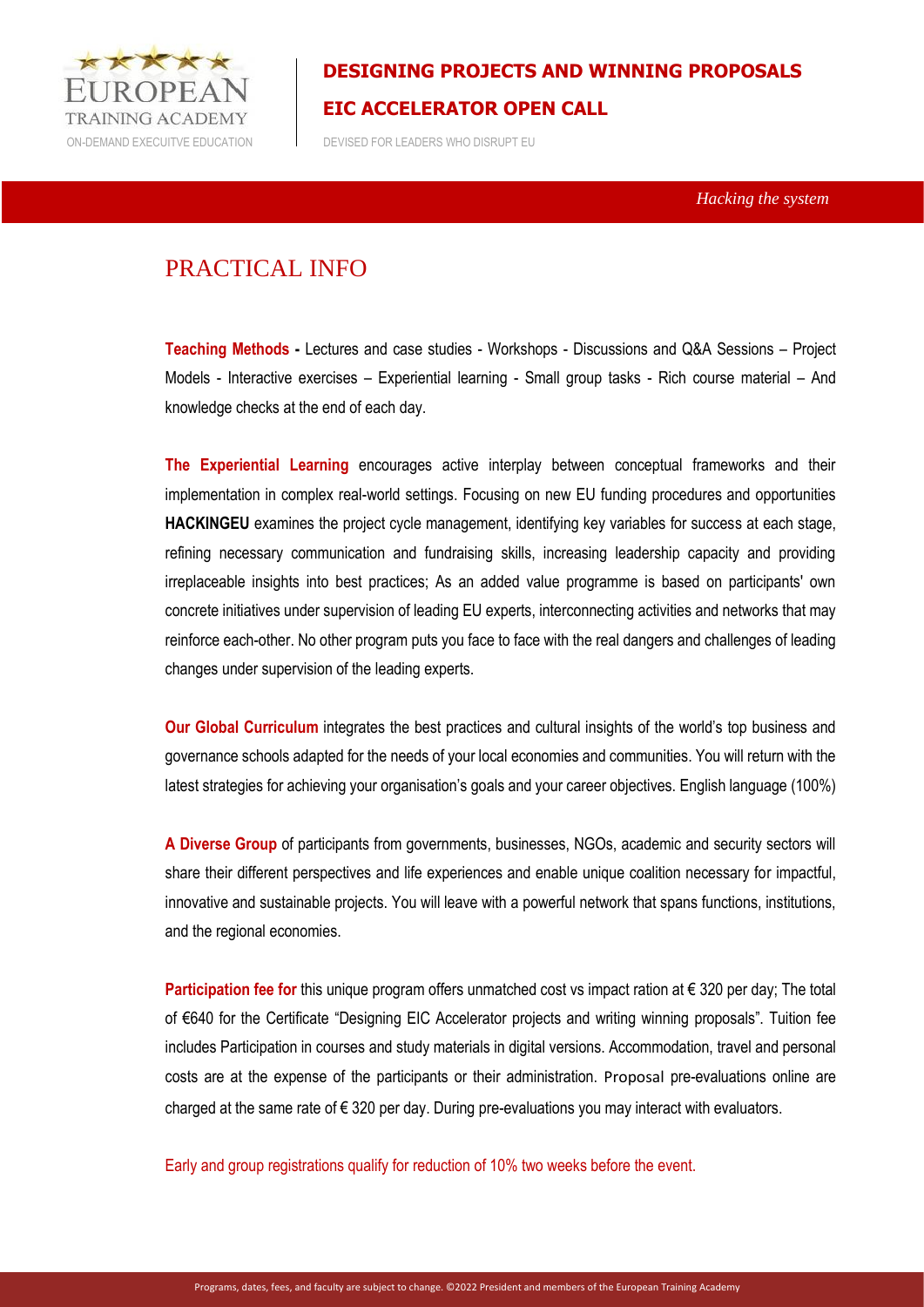

ON-DEMAND EXECUITVE EDUCATION DEVISED FOR LEADERS WHO DISRUPT EU

 *Hacking the system* 

### PRACTICAL INFO

**Teaching Methods -** Lectures and case studies - Workshops - Discussions and Q&A Sessions – Project Models - Interactive exercises – Experiential learning - Small group tasks - Rich course material – And knowledge checks at the end of each day.

**The Experiential Learning** encourages active interplay between conceptual frameworks and their implementation in complex real-world settings. Focusing on new EU funding procedures and opportunities **HACKINGEU** examines the project cycle management, identifying key variables for success at each stage, refining necessary communication and fundraising skills, increasing leadership capacity and providing irreplaceable insights into best practices; As an added value programme is based on participants' own concrete initiatives under supervision of leading EU experts, interconnecting activities and networks that may reinforce each-other. No other program puts you face to face with the real dangers and challenges of leading changes under supervision of the leading experts.

**Our Global Curriculum** integrates the best practices and cultural insights of the world's top business and governance schools adapted for the needs of your local economies and communities. You will return with the latest strategies for achieving your organisation's goals and your career objectives. English language (100%)

**A Diverse Group** of participants from governments, businesses, NGOs, academic and security sectors will share their different perspectives and life experiences and enable unique coalition necessary for impactful, innovative and sustainable projects. You will leave with a powerful network that spans functions, institutions, and the regional economies.

**Participation fee for** this unique program offers unmatched cost vs impact ration at € 320 per day; The total of €640 for the Certificate "Designing EIC Accelerator projects and writing winning proposals". Tuition fee includes Participation in courses and study materials in digital versions. Accommodation, travel and personal costs are at the expense of the participants or their administration. Proposal pre-evaluations online are charged at the same rate of  $\epsilon$  320 per day. During pre-evaluations you may interact with evaluators.

Early and group registrations qualify for reduction of 10% two weeks before the event.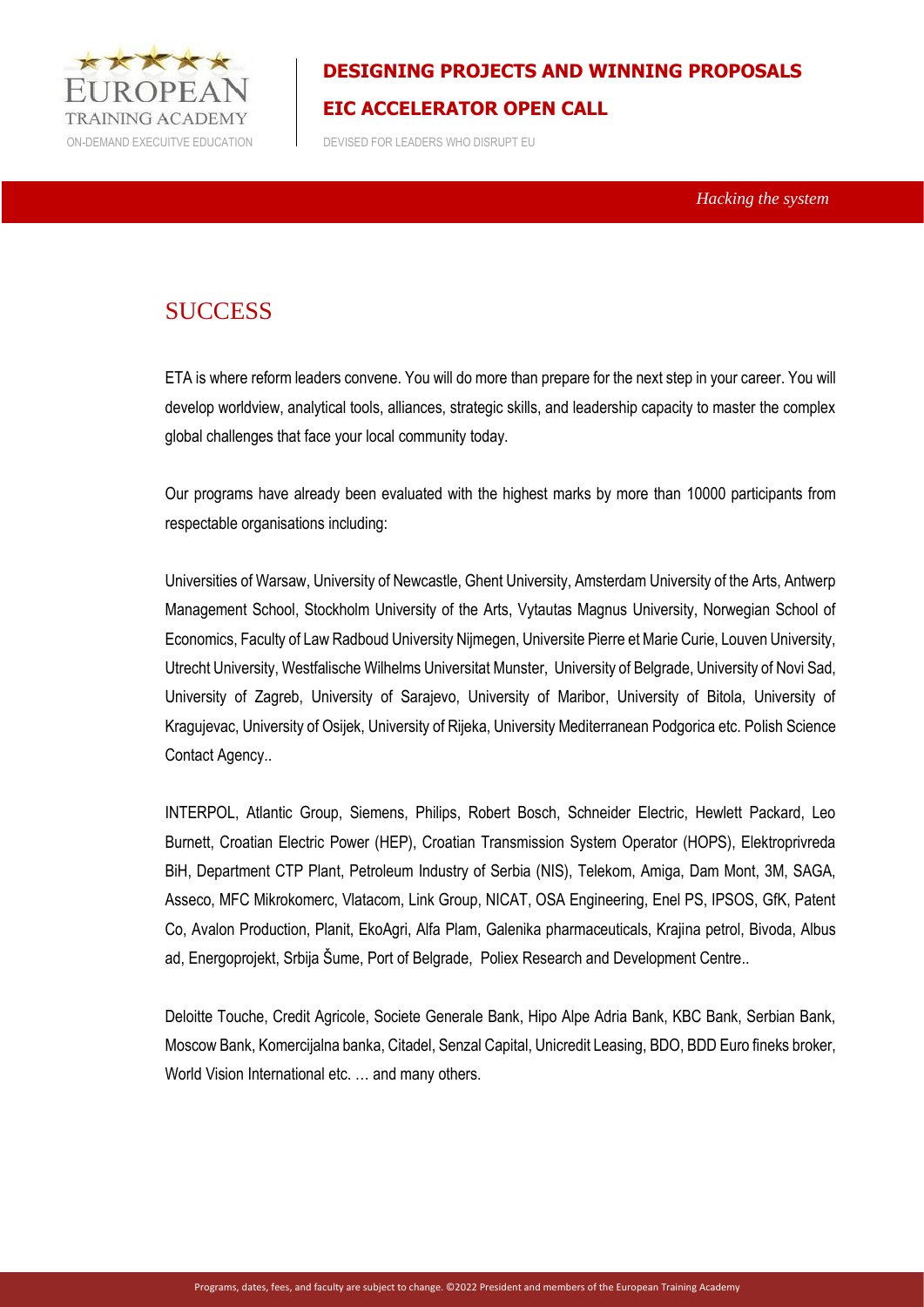

ON-DEMAND EXECUITVE EDUCATION DEVISED FOR LEADERS WHO DISRUPT EU

 *Hacking the system* 

### **SUCCESS**

ETA is where reform leaders convene. You will do more than prepare for the next step in your career. You will develop worldview, analytical tools, alliances, strategic skills, and leadership capacity to master the complex global challenges that face your local community today.

Our programs have already been evaluated with the highest marks by more than 10000 participants from respectable organisations including:

Universities of Warsaw, University of Newcastle, Ghent University, Amsterdam University of the Arts, Antwerp Management School, Stockholm University of the Arts, Vytautas Magnus University, Norwegian School of Economics, Faculty of Law Radboud University Nijmegen, Universite Pierre et Marie Curie, Louven University, Utrecht University, Westfalische Wilhelms Universitat Munster, University of Belgrade, University of Novi Sad, University of Zagreb, University of Sarajevo, University of Maribor, University of Bitola, University of Kragujevac, University of Osijek, University of Rijeka, University Mediterranean Podgorica etc. Polish Science Contact Agency..

INTERPOL, Atlantic Group, Siemens, Philips, Robert Bosch, Schneider Electric, Hewlett Packard, Leo Burnett, Croatian Electric Power (HEP), Croatian Transmission System Operator (HOPS), Elektroprivreda BiH, Department CTP Plant, Petroleum Industry of Serbia (NIS), Telekom, Amiga, Dam Mont, 3M, SAGA, Asseco, MFC Mikrokomerc, Vlatacom, Link Group, NICAT, OSA Engineering, Enel PS, IPSOS, GfK, Patent Co, Avalon Production, Planit, EkoAgri, Alfa Plam, Galenika pharmaceuticals, Krajina petrol, Bivoda, Albus ad, Energoprojekt, Srbija Šume, Port of Belgrade, Poliex Research and Development Centre..

Deloitte Touche, Credit Agricole, Societe Generale Bank, Hipo Alpe Adria Bank, KBC Bank, Serbian Bank, Moscow Bank, Komercijalna banka, Citadel, Senzal Capital, Unicredit Leasing, BDO, BDD Euro fineks broker, World Vision International etc. ... and many others.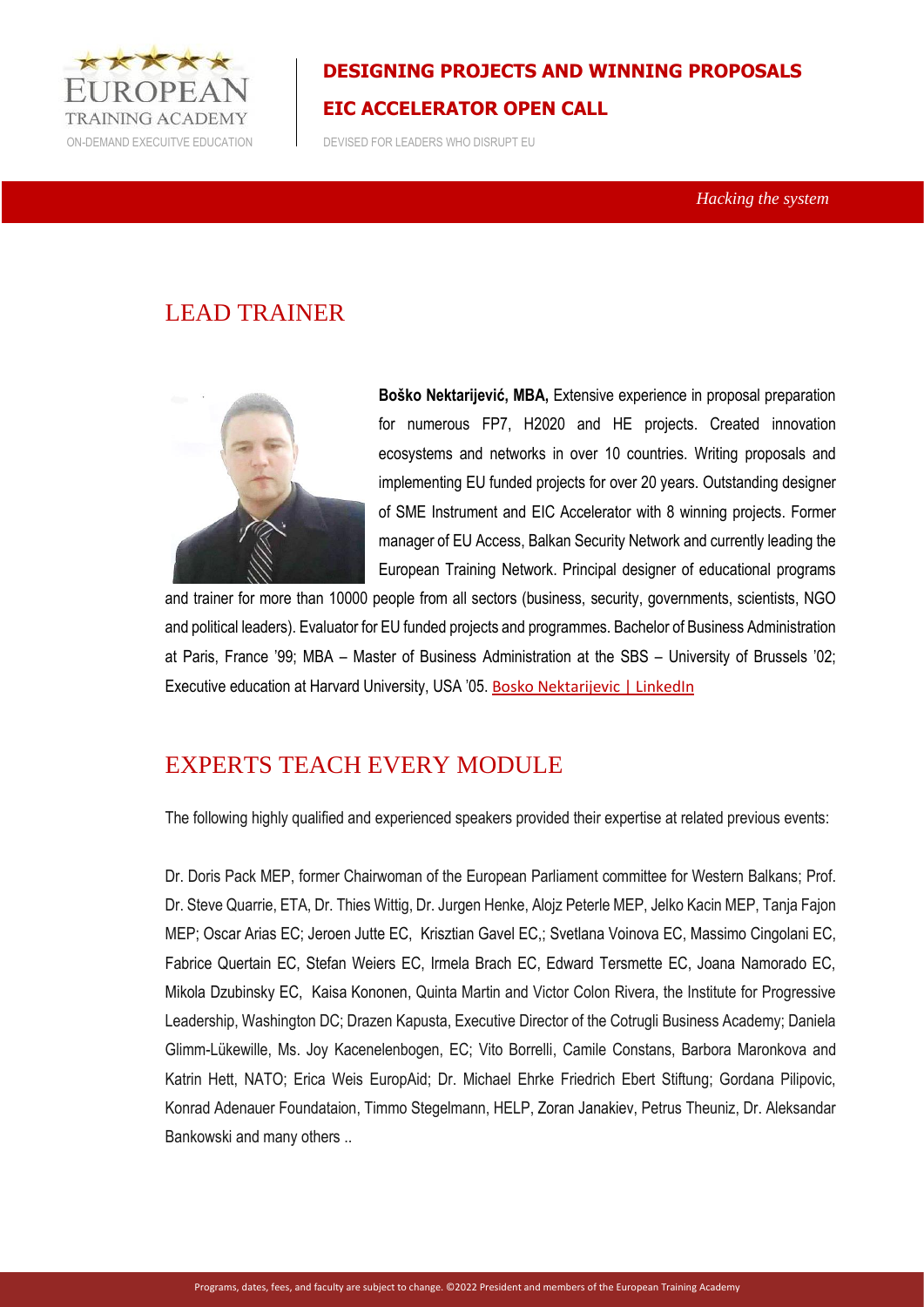

ON-DEMAND EXECUITVE EDUCATION DEVISED FOR LEADERS WHO DISRUPT EU

 *Hacking the system* 

## LEAD TRAINER



**Boško Nektarijević, MBA,** Extensive experience in proposal preparation for numerous FP7, H2020 and HE projects. Created innovation ecosystems and networks in over 10 countries. Writing proposals and implementing EU funded projects for over 20 years. Outstanding designer of SME Instrument and EIC Accelerator with 8 winning projects. Former manager of EU Access, Balkan Security Network and currently leading the European Training Network. Principal designer of educational programs

and trainer for more than 10000 people from all sectors (business, security, governments, scientists, NGO and political leaders). Evaluator for EU funded projects and programmes. Bachelor of Business Administration at Paris, France '99; MBA – Master of Business Administration at the SBS – University of Brussels '02; Executive education at Harvard University, USA '05. [Bosko Nektarijevic | LinkedIn](https://www.linkedin.com/in/nektarijevic/)

## EXPERTS TEACH EVERY MODULE

The following highly qualified and experienced speakers provided their expertise at related previous events:

Dr. Doris Pack MEP, former Chairwoman of the European Parliament committee for Western Balkans; Prof. Dr. Steve Quarrie, ETA, Dr. Thies Wittig, Dr. Jurgen Henke, Alojz Peterle MEP, Jelko Kacin MEP, Tanja Fajon MEP; Oscar Arias EC; Jeroen Jutte EC, Krisztian Gavel EC,; Svetlana Voinova EC, Massimo Cingolani EC, Fabrice Quertain EC, Stefan Weiers EC, Irmela Brach EC, Edward Tersmette EC, Joana Namorado EC, Mikola Dzubinsky EC, Kaisa Kononen, Quinta Martin and Victor Colon Rivera, the Institute for Progressive Leadership, Washington DC; Drazen Kapusta, Executive Director of the Cotrugli Business Academy; Daniela Glimm-Lükewille, Ms. Joy Kacenelenbogen, EC; Vito Borrelli, Camile Constans, Barbora Maronkova and Katrin Hett, NATO; Erica Weis EuropAid; Dr. Michael Ehrke Friedrich Ebert Stiftung; Gordana Pilipovic, Konrad Adenauer Foundataion, Timmo Stegelmann, HELP, Zoran Janakiev, Petrus Theuniz, Dr. Aleksandar Bankowski and many others ..